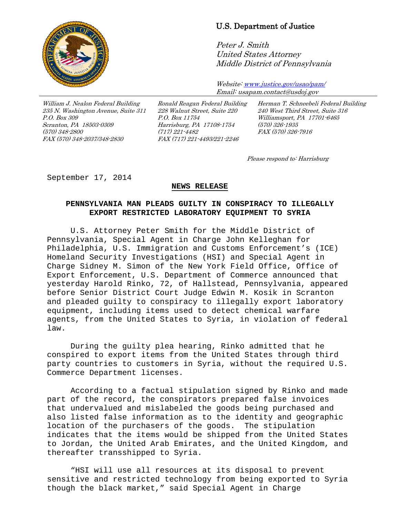

## U.S. Department of Justice

Peter J. Smith United States Attorney Middle District of Pennsylvania

Website[: www.justice.gov/usao/pam/](http://www.justice.gov/usao/pam/) Email: usapam.contact@usdoj.gov

William J. Nealon Federal Building 235 N. Washington Avenue, Suite 311 P.O. Box 309 Scranton, PA 18503-0309 (570) 348-2800 FAX (570) 348-2037/348-2830

Ronald Reagan Federal Building 228 Walnut Street, Suite 220 P.O. Box 11754 Harrisburg, PA 17108-1754 (717) 221-4482 FAX (717) 221-4493/221-2246

Herman T. Schneebeli Federal Building 240 West Third Street, Suite 316 Williamsport, PA 17701-6465 (570) 326-1935 FAX (570) 326-7916

Please respond to: Harrisburg

September 17, 2014

## **NEWS RELEASE**

## **PENNSYLVANIA MAN PLEADS GUILTY IN CONSPIRACY TO ILLEGALLY EXPORT RESTRICTED LABORATORY EQUIPMENT TO SYRIA**

U.S. Attorney Peter Smith for the Middle District of Pennsylvania, Special Agent in Charge John Kelleghan for Philadelphia, U.S. Immigration and Customs Enforcement's (ICE) Homeland Security Investigations (HSI) and Special Agent in Charge Sidney M. Simon of the New York Field Office, Office of Export Enforcement, U.S. Department of Commerce announced that yesterday Harold Rinko, 72, of Hallstead, Pennsylvania, appeared before Senior District Court Judge Edwin M. Kosik in Scranton and pleaded guilty to conspiracy to illegally export laboratory equipment, including items used to detect chemical warfare agents, from the United States to Syria, in violation of federal law.

During the guilty plea hearing, Rinko admitted that he conspired to export items from the United States through third party countries to customers in Syria, without the required U.S. Commerce Department licenses.

According to a factual stipulation signed by Rinko and made part of the record, the conspirators prepared false invoices that undervalued and mislabeled the goods being purchased and also listed false information as to the identity and geographic location of the purchasers of the goods. The stipulation indicates that the items would be shipped from the United States to Jordan, the United Arab Emirates, and the United Kingdom, and thereafter transshipped to Syria.

"HSI will use all resources at its disposal to prevent sensitive and restricted technology from being exported to Syria though the black market," said Special Agent in Charge